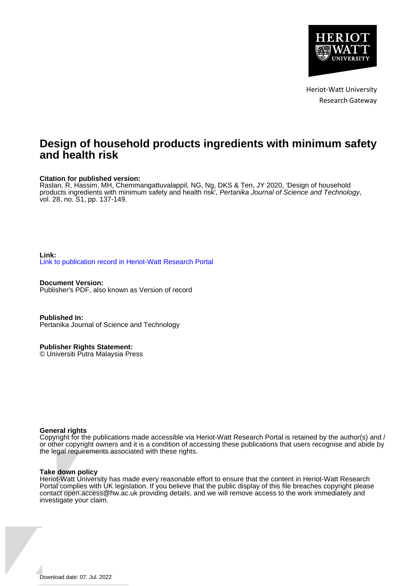

Heriot-Watt University Research Gateway

# **Design of household products ingredients with minimum safety and health risk**

# **Citation for published version:**

Raslan, R, Hassim, MH, Chemmangattuvalappil, NG, Ng, DKS & Ten, JY 2020, 'Design of household products ingredients with minimum safety and health risk', Pertanika Journal of Science and Technology, vol. 28, no. S1, pp. 137-149.

# **Link:** [Link to publication record in Heriot-Watt Research Portal](https://researchportal.hw.ac.uk/en/publications/7e80d874-5f93-4330-b233-709d9136a1b4)

**Document Version:** Publisher's PDF, also known as Version of record

**Published In:** Pertanika Journal of Science and Technology

**Publisher Rights Statement:** © Universiti Putra Malaysia Press

# **General rights**

Copyright for the publications made accessible via Heriot-Watt Research Portal is retained by the author(s) and / or other copyright owners and it is a condition of accessing these publications that users recognise and abide by the legal requirements associated with these rights.

#### **Take down policy**

Heriot-Watt University has made every reasonable effort to ensure that the content in Heriot-Watt Research Portal complies with UK legislation. If you believe that the public display of this file breaches copyright please contact open.access@hw.ac.uk providing details, and we will remove access to the work immediately and investigate your claim.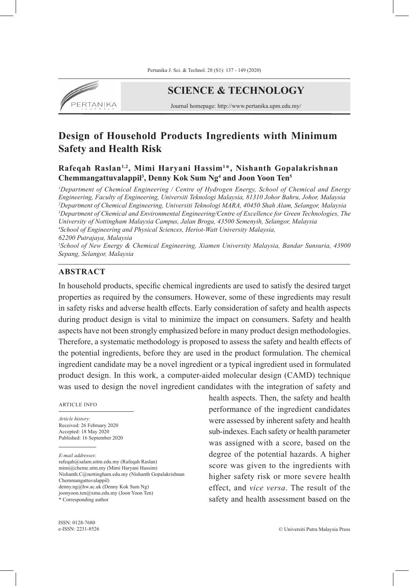

# **SCIENCE & TECHNOLOGY**

Journal homepage: http://www.pertanika.upm.edu.my/

# **Design of Household Products Ingredients wiıth Minimum Safety and Health Risk**

**Rafeqah Raslan1,2, Mimi Haryani Hassim<sup>1</sup>** \***, Nishanth Gopalakrishnan Chemmangattuvalappil<sup>3</sup> , Denny Kok Sum Ng<sup>4</sup> and Joon Yoon Ten5**

*1 Department of Chemical Engineering / Centre of Hydrogen Energy, School of Chemical and Energy Engineering, Faculty of Engineering, Universiti Teknologi Malaysia, 81310 Johor Bahru, Johor, Malaysia 2 Department of Chemical Engineering, Universiti Teknologi MARA, 40450 Shah Alam, Selangor, Malaysia 3 Department of Chemical and Environmental Engineering/Centre of Excellence for Green Technologies, The University of Nottingham Malaysia Campus, Jalan Broga, 43500 Semenyih, Selangor, Malaysia 4 School of Engineering and Physical Sciences, Heriot-Watt University Malaysia, 62200 Putrajaya, Malaysia 5 School of New Energy & Chemical Engineering, Xiamen University Malaysia, Bandar Sunsuria, 43900 Sepang, Selangor, Malaysia*

# **ABSTRACT**

In household products, specific chemical ingredients are used to satisfy the desired target properties as required by the consumers. However, some of these ingredients may result in safety risks and adverse health effects. Early consideration of safety and health aspects during product design is vital to minimize the impact on consumers. Safety and health aspects have not been strongly emphasized before in many product design methodologies. Therefore, a systematic methodology is proposed to assess the safety and health effects of the potential ingredients, before they are used in the product formulation. The chemical ingredient candidate may be a novel ingredient or a typical ingredient used in formulated product design. In this work, a computer-aided molecular design (CAMD) technique was used to design the novel ingredient candidates with the integration of safety and

#### ARTICLE INFO

*Article history:* Received: 26 February 2020 Accepted: 18 May 2020 Published: 16 September 2020

*E-mail addresses*:

rafeqah@salam.uitm.edu.my (Rafeqah Raslan) mimi@cheme.utm.my (Mimi Haryani Hassim) Nishanth.C@nottingham.edu.my (Nishanth Gopalakrishnan Chemmangattuvalappil) denny.ng@hw.ac.uk (Denny Kok Sum Ng) joonyoon.ten@xmu.edu.my (Joon Yoon Ten) \* Corresponding author

health aspects. Then, the safety and health performance of the ingredient candidates were assessed by inherent safety and health sub-indexes. Each safety or health parameter was assigned with a score, based on the degree of the potential hazards. A higher score was given to the ingredients with higher safety risk or more severe health effect, and *vice versa*. The result of the safety and health assessment based on the

ISSN: 0128-7680 e-ISSN: 2231-8526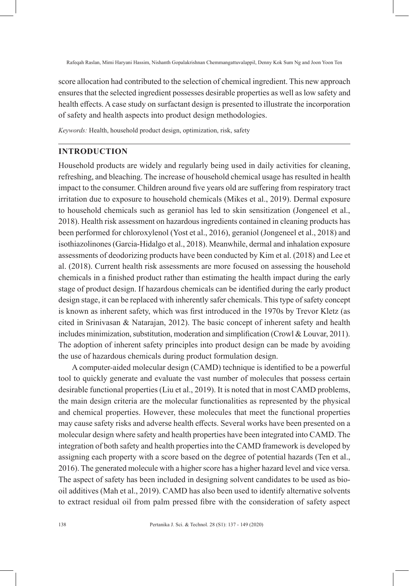score allocation had contributed to the selection of chemical ingredient. This new approach ensures that the selected ingredient possesses desirable properties as well as low safety and health effects. A case study on surfactant design is presented to illustrate the incorporation of safety and health aspects into product design methodologies.

*Keywords:* Health, household product design, optimization, risk, safety

# **INTRODUCTION**

Household products are widely and regularly being used in daily activities for cleaning, refreshing, and bleaching. The increase of household chemical usage has resulted in health impact to the consumer. Children around five years old are suffering from respiratory tract irritation due to exposure to household chemicals (Mikes et al., 2019). Dermal exposure to household chemicals such as geraniol has led to skin sensitization (Jongeneel et al., 2018). Health risk assessment on hazardous ingredients contained in cleaning products has been performed for chloroxylenol (Yost et al., 2016), geraniol (Jongeneel et al., 2018) and isothiazolinones (Garcia-Hidalgo et al., 2018). Meanwhile, dermal and inhalation exposure assessments of deodorizing products have been conducted by Kim et al. (2018) and Lee et al. (2018). Current health risk assessments are more focused on assessing the household chemicals in a finished product rather than estimating the health impact during the early stage of product design. If hazardous chemicals can be identified during the early product design stage, it can be replaced with inherently safer chemicals. This type of safety concept is known as inherent safety, which was first introduced in the 1970s by Trevor Kletz (as cited in Srinivasan & Natarajan, 2012). The basic concept of inherent safety and health includes minimization, substitution, moderation and simplification (Crowl & Louvar, 2011). The adoption of inherent safety principles into product design can be made by avoiding the use of hazardous chemicals during product formulation design.

A computer-aided molecular design (CAMD) technique is identified to be a powerful tool to quickly generate and evaluate the vast number of molecules that possess certain desirable functional properties (Liu et al., 2019). It is noted that in most CAMD problems, the main design criteria are the molecular functionalities as represented by the physical and chemical properties. However, these molecules that meet the functional properties may cause safety risks and adverse health effects. Several works have been presented on a molecular design where safety and health properties have been integrated into CAMD. The integration of both safety and health properties into the CAMD framework is developed by assigning each property with a score based on the degree of potential hazards (Ten et al., 2016). The generated molecule with a higher score has a higher hazard level and vice versa. The aspect of safety has been included in designing solvent candidates to be used as biooil additives (Mah et al., 2019). CAMD has also been used to identify alternative solvents to extract residual oil from palm pressed fibre with the consideration of safety aspect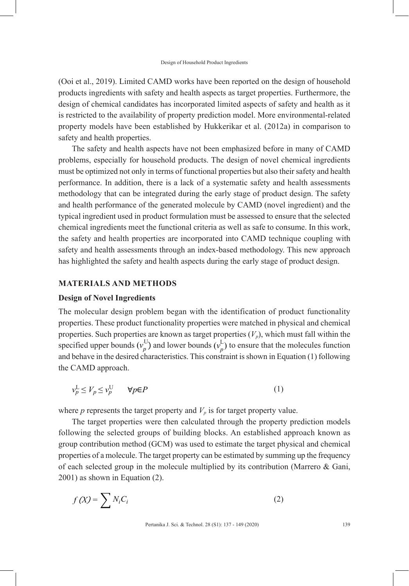(Ooi et al., 2019). Limited CAMD works have been reported on the design of household products ingredients with safety and health aspects as target properties. Furthermore, the design of chemical candidates has incorporated limited aspects of safety and health as it is restricted to the availability of property prediction model. More environmental-related property models have been established by Hukkerikar et al. (2012a) in comparison to safety and health properties.

The safety and health aspects have not been emphasized before in many of CAMD problems, especially for household products. The design of novel chemical ingredients must be optimized not only in terms of functional properties but also their safety and health performance. In addition, there is a lack of a systematic safety and health assessments methodology that can be integrated during the early stage of product design. The safety and health performance of the generated molecule by CAMD (novel ingredient) and the typical ingredient used in product formulation must be assessed to ensure that the selected chemical ingredients meet the functional criteria as well as safe to consume. In this work, the safety and health properties are incorporated into CAMD technique coupling with safety and health assessments through an index-based methodology. This new approach has highlighted the safety and health aspects during the early stage of product design.

## **MATERIALS AND METHODS**

#### **Design of Novel Ingredients**

The molecular design problem began with the identification of product functionality properties. These product functionality properties were matched in physical and chemical properties. Such properties are known as target properties  $(V_p)$ , which must fall within the specified upper bounds  $(v_p^{\mathrm{U}})$  and lower bounds  $(v_p^{\mathrm{U}})$  $L_p^U$ ) and lower bounds  $(\nu_p^L)$  to ensure that the molecules function and behave in the desired characteristics. This constraint is shown in Equation (1) following the CAMD approach.

$$
v_p^{\rm L} \le V_p \le v_p^{\rm U} \qquad \forall p \in P \tag{1}
$$

where  $p$  represents the target property and  $V_p$  is for target property value.

The target properties were then calculated through the property prediction models following the selected groups of building blocks. An established approach known as group contribution method (GCM) was used to estimate the target physical and chemical properties of a molecule. The target property can be estimated by summing up the frequency of each selected group in the molecule multiplied by its contribution (Marrero & Gani, 2001) as shown in Equation (2).

$$
f(X) = \sum N_i C_i
$$
 (2)

Pertanika J. Sci. & Technol. 28 (S1): 137 - 149 (2020) 139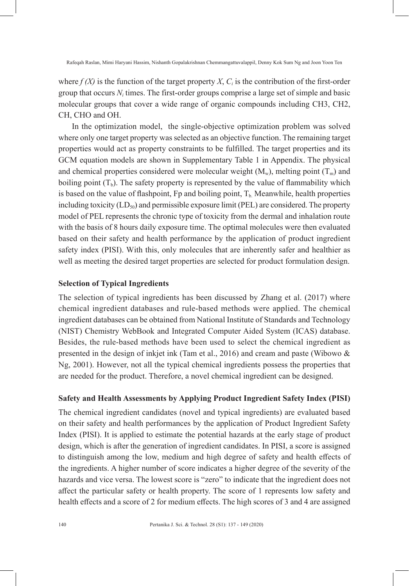where  $f(X)$  is the function of the target property X,  $C<sub>i</sub>$  is the contribution of the first-order group that occurs *N<sup>i</sup>* times. The first-order groups comprise a large set of simple and basic molecular groups that cover a wide range of organic compounds including CH3, CH2, CH, CHO and OH.

In the optimization model, the single-objective optimization problem was solved where only one target property was selected as an objective function. The remaining target properties would act as property constraints to be fulfilled. The target properties and its GCM equation models are shown in Supplementary Table 1 in Appendix. The physical and chemical properties considered were molecular weight  $(M_w)$ , melting point  $(T_m)$  and boiling point  $(T_b)$ . The safety property is represented by the value of flammability which is based on the value of flashpoint, Fp and boiling point,  $T<sub>b</sub>$ . Meanwhile, health properties including toxicity  $(LD_{50})$  and permissible exposure limit (PEL) are considered. The property model of PEL represents the chronic type of toxicity from the dermal and inhalation route with the basis of 8 hours daily exposure time. The optimal molecules were then evaluated based on their safety and health performance by the application of product ingredient safety index (PISI). With this, only molecules that are inherently safer and healthier as well as meeting the desired target properties are selected for product formulation design.

# **Selection of Typical Ingredients**

The selection of typical ingredients has been discussed by Zhang et al. (2017) where chemical ingredient databases and rule-based methods were applied. The chemical ingredient databases can be obtained from National Institute of Standards and Technology (NIST) Chemistry WebBook and Integrated Computer Aided System (ICAS) database. Besides, the rule-based methods have been used to select the chemical ingredient as presented in the design of inkjet ink (Tam et al., 2016) and cream and paste (Wibowo & Ng, 2001). However, not all the typical chemical ingredients possess the properties that are needed for the product. Therefore, a novel chemical ingredient can be designed.

# **Safety and Health Assessments by Applying Product Ingredient Safety Index (PISI)**

The chemical ingredient candidates (novel and typical ingredients) are evaluated based on their safety and health performances by the application of Product Ingredient Safety Index (PISI). It is applied to estimate the potential hazards at the early stage of product design, which is after the generation of ingredient candidates. In PISI, a score is assigned to distinguish among the low, medium and high degree of safety and health effects of the ingredients. A higher number of score indicates a higher degree of the severity of the hazards and vice versa. The lowest score is "zero" to indicate that the ingredient does not affect the particular safety or health property. The score of 1 represents low safety and health effects and a score of 2 for medium effects. The high scores of 3 and 4 are assigned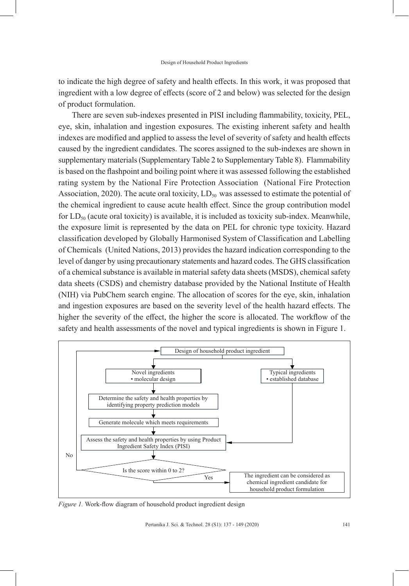to indicate the high degree of safety and health effects. In this work, it was proposed that ingredient with a low degree of effects (score of 2 and below) was selected for the design of product formulation.

There are seven sub-indexes presented in PISI including flammability, toxicity, PEL, eye, skin, inhalation and ingestion exposures. The existing inherent safety and health indexes are modified and applied to assess the level of severity of safety and health effects caused by the ingredient candidates. The scores assigned to the sub-indexes are shown in supplementary materials (Supplementary Table 2 to Supplementary Table 8). Flammability is based on the flashpoint and boiling point where it was assessed following the established rating system by the National Fire Protection Association (National Fire Protection Association, 2020). The acute oral toxicity,  $LD_{50}$  was assessed to estimate the potential of the chemical ingredient to cause acute health effect. Since the group contribution model for  $LD_{50}$  (acute oral toxicity) is available, it is included as toxicity sub-index. Meanwhile, the exposure limit is represented by the data on PEL for chronic type toxicity. Hazard classification developed by Globally Harmonised System of Classification and Labelling of Chemicals (United Nations, 2013) provides the hazard indication corresponding to the level of danger by using precautionary statements and hazard codes. The GHS classification of a chemical substance is available in material safety data sheets (MSDS), chemical safety data sheets (CSDS) and chemistry database provided by the National Institute of Health (NIH) via PubChem search engine. The allocation of scores for the eye, skin, inhalation and ingestion exposures are based on the severity level of the health hazard effects. The higher the severity of the effect, the higher the score is allocated. The workflow of the safety and health assessments of the novel and typical ingredients is shown in Figure 1.



*Figure 1.* Work-flow diagram of household product ingredient design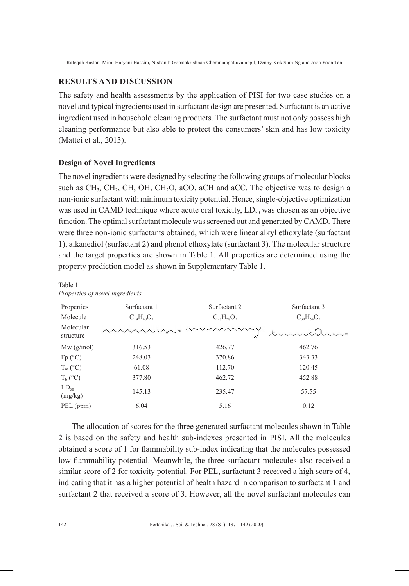# **RESULTS AND DISCUSSION**

The safety and health assessments by the application of PISI for two case studies on a novel and typical ingredients used in surfactant design are presented. Surfactant is an active ingredient used in household cleaning products. The surfactant must not only possess high cleaning performance but also able to protect the consumers' skin and has low toxicity (Mattei et al., 2013).

# **Design of Novel Ingredients**

The novel ingredients were designed by selecting the following groups of molecular blocks such as  $CH_3$ ,  $CH_2$ ,  $CH_3$ ,  $CH_2O$ ,  $C_4CO$ ,  $C_5$  accept and accept and accept algebra and  $C_5$ . non-ionic surfactant with minimum toxicity potential. Hence, single-objective optimization was used in CAMD technique where acute oral toxicity,  $LD_{50}$  was chosen as an objective function. The optimal surfactant molecule was screened out and generated by CAMD. There were three non-ionic surfactants obtained, which were linear alkyl ethoxylate (surfactant 1), alkanediol (surfactant 2) and phenol ethoxylate (surfactant 3). The molecular structure and the target properties are shown in Table 1. All properties are determined using the property prediction model as shown in Supplementary Table 1.

| Properties             | Surfactant 1      | Surfactant 2      | Surfactant 3      |
|------------------------|-------------------|-------------------|-------------------|
| Molecule               | $C_{19}H_{40}O_3$ | $C_{28}H_{58}O_2$ | $C_{30}H_{54}O_3$ |
| Molecular<br>structure |                   | нď                |                   |
| $Mw$ (g/mol)           | 316.53            | 426.77            | 462.76            |
| $Fp(^{\circ}C)$        | 248.03            | 370.86            | 343.33            |
| $T_m$ (°C)             | 61.08             | 112.70            | 120.45            |
| $T_b$ (°C)             | 377.80            | 462.72            | 452.88            |
| $LD_{50}$<br>(mg/kg)   | 145.13            | 235.47            | 57.55             |
| PEL (ppm)              | 6.04              | 5.16              | 0.12              |

Table 1 *Properties of novel ingredients*

The allocation of scores for the three generated surfactant molecules shown in Table 2 is based on the safety and health sub-indexes presented in PISI. All the molecules obtained a score of 1 for flammability sub-index indicating that the molecules possessed low flammability potential. Meanwhile, the three surfactant molecules also received a similar score of 2 for toxicity potential. For PEL, surfactant 3 received a high score of 4, indicating that it has a higher potential of health hazard in comparison to surfactant 1 and surfactant 2 that received a score of 3. However, all the novel surfactant molecules can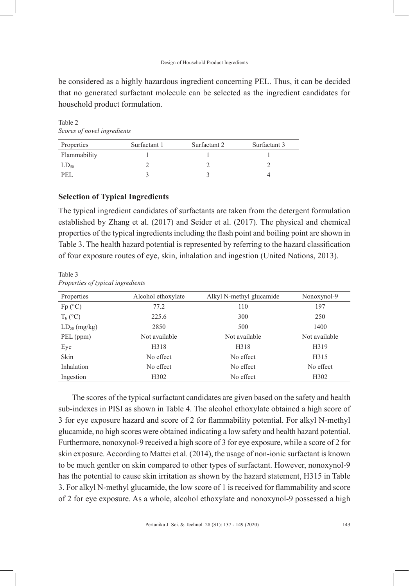#### Design of Household Product Ingredients

be considered as a highly hazardous ingredient concerning PEL. Thus, it can be decided that no generated surfactant molecule can be selected as the ingredient candidates for household product formulation.

Table 2 *Scores of novel ingredients*

| Properties   | Surfactant 1 | Surfactant 2 | Surfactant 3 |
|--------------|--------------|--------------|--------------|
| Flammability |              |              |              |
| $LD_{50}$    |              |              |              |
| PEI.         |              |              |              |

# **Selection of Typical Ingredients**

The typical ingredient candidates of surfactants are taken from the detergent formulation established by Zhang et al. (2017) and Seider et al. (2017). The physical and chemical properties of the typical ingredients including the flash point and boiling point are shown in Table 3. The health hazard potential is represented by referring to the hazard classification of four exposure routes of eye, skin, inhalation and ingestion (United Nations, 2013).

#### Table 3 *Properties of typical ingredients*

| Properties        | Alcohol ethoxylate | Alkyl N-methyl glucamide | Nonoxynol-9       |
|-------------------|--------------------|--------------------------|-------------------|
| $Fp(^{\circ}C)$   | 77.2               | 110                      | 197               |
| $T_b$ (°C)        | 225.6              | 300                      | 250               |
| $LD_{50}$ (mg/kg) | 2850               | 500                      | 1400              |
| PEL (ppm)         | Not available      | Not available            | Not available     |
| Eye               | H318               | H318                     | H319              |
| Skin              | No effect          | No effect                | H315              |
| Inhalation        | No effect          | No effect                | No effect         |
| Ingestion         | H <sub>3</sub> 02  | No effect                | H <sub>3</sub> 02 |

The scores of the typical surfactant candidates are given based on the safety and health sub-indexes in PISI as shown in Table 4. The alcohol ethoxylate obtained a high score of 3 for eye exposure hazard and score of 2 for flammability potential. For alkyl N-methyl glucamide, no high scores were obtained indicating a low safety and health hazard potential. Furthermore, nonoxynol-9 received a high score of 3 for eye exposure, while a score of 2 for skin exposure. According to Mattei et al. (2014), the usage of non-ionic surfactant is known to be much gentler on skin compared to other types of surfactant. However, nonoxynol-9 has the potential to cause skin irritation as shown by the hazard statement, H315 in Table 3. For alkyl N-methyl glucamide, the low score of 1 is received for flammability and score of 2 for eye exposure. As a whole, alcohol ethoxylate and nonoxynol-9 possessed a high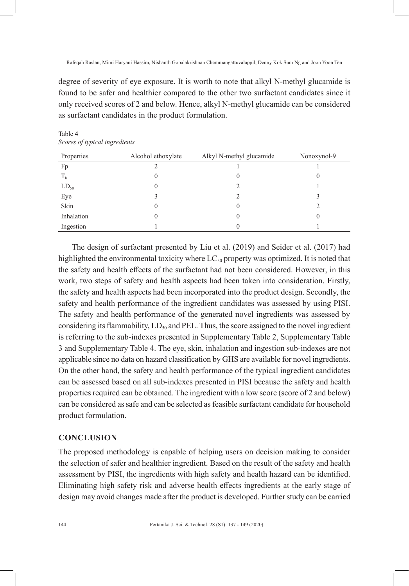degree of severity of eye exposure. It is worth to note that alkyl N-methyl glucamide is found to be safer and healthier compared to the other two surfactant candidates since it only received scores of 2 and below. Hence, alkyl N-methyl glucamide can be considered as surfactant candidates in the product formulation.

| Properties | Alcohol ethoxylate | Alkyl N-methyl glucamide | Nonoxynol-9 |
|------------|--------------------|--------------------------|-------------|
| Fp         |                    |                          |             |
| $T_{b}$    |                    | 0                        | U           |
| $LD_{50}$  |                    |                          |             |
| Eye        |                    |                          |             |
| Skin       |                    | 0                        |             |
| Inhalation |                    | 0                        |             |
| Ingestion  |                    |                          |             |

Table 4 *Scores of typical ingredients*

The design of surfactant presented by Liu et al. (2019) and Seider et al. (2017) had highlighted the environmental toxicity where  $LC_{50}$  property was optimized. It is noted that the safety and health effects of the surfactant had not been considered. However, in this work, two steps of safety and health aspects had been taken into consideration. Firstly, the safety and health aspects had been incorporated into the product design. Secondly, the safety and health performance of the ingredient candidates was assessed by using PISI. The safety and health performance of the generated novel ingredients was assessed by considering its flammability,  $LD_{50}$  and PEL. Thus, the score assigned to the novel ingredient is referring to the sub-indexes presented in Supplementary Table 2, Supplementary Table 3 and Supplementary Table 4. The eye, skin, inhalation and ingestion sub-indexes are not applicable since no data on hazard classification by GHS are available for novel ingredients. On the other hand, the safety and health performance of the typical ingredient candidates can be assessed based on all sub-indexes presented in PISI because the safety and health properties required can be obtained. The ingredient with a low score (score of 2 and below) can be considered as safe and can be selected as feasible surfactant candidate for household product formulation.

# **CONCLUSION**

The proposed methodology is capable of helping users on decision making to consider the selection of safer and healthier ingredient. Based on the result of the safety and health assessment by PISI, the ingredients with high safety and health hazard can be identified. Eliminating high safety risk and adverse health effects ingredients at the early stage of design may avoid changes made after the product is developed. Further study can be carried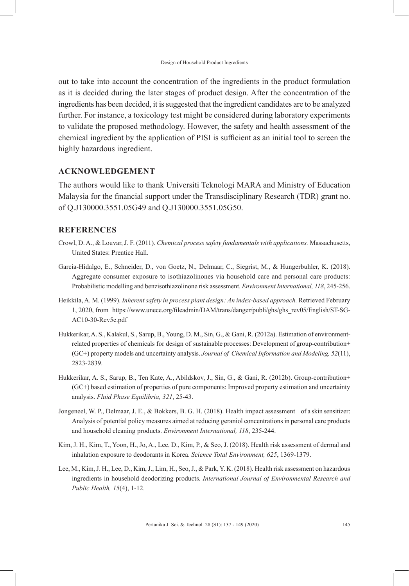out to take into account the concentration of the ingredients in the product formulation as it is decided during the later stages of product design. After the concentration of the ingredients has been decided, it is suggested that the ingredient candidates are to be analyzed further. For instance, a toxicology test might be considered during laboratory experiments to validate the proposed methodology. However, the safety and health assessment of the chemical ingredient by the application of PISI is sufficient as an initial tool to screen the highly hazardous ingredient.

# **ACKNOWLEDGEMENT**

The authors would like to thank Universiti Teknologi MARA and Ministry of Education Malaysia for the financial support under the Transdisciplinary Research (TDR) grant no. of Q.J130000.3551.05G49 and Q.J130000.3551.05G50.

# **REFERENCES**

- Crowl, D. A., & Louvar, J. F. (2011). *Chemical process safety fundamentals with applications.* Massachusetts, United States: Prentice Hall.
- Garcia-Hidalgo, E., Schneider, D., von Goetz, N., Delmaar, C., Siegrist, M., & Hungerbuhler, K. (2018). Aggregate consumer exposure to isothiazolinones via household care and personal care products: Probabilistic modelling and benzisothiazolinone risk assessment. *Environment International, 118*, 245-256.
- Heikkila, A. M. (1999). *Inherent safety in process plant design: An index-based approach.* Retrieved February 1, 2020, from https://www.unece.org/fileadmin/DAM/trans/danger/publi/ghs/ghs\_rev05/English/ST-SG-AC10-30-Rev5e.pdf
- Hukkerikar, A. S., Kalakul, S., Sarup, B., Young, D. M., Sin, G., & Gani, R. (2012a). Estimation of environmentrelated properties of chemicals for design of sustainable processes: Development of group-contribution+ (GC+) property models and uncertainty analysis. *Journal of Chemical Information and Modeling, 52*(11), 2823-2839.
- Hukkerikar, A. S., Sarup, B., Ten Kate, A., Abildskov, J., Sin, G., & Gani, R. (2012b). Group-contribution+ (GC+) based estimation of properties of pure components: Improved property estimation and uncertainty analysis. *Fluid Phase Equilibria, 321*, 25-43.
- Jongeneel, W. P., Delmaar, J. E., & Bokkers, B. G. H. (2018). Health impact assessment of a skin sensitizer: Analysis of potential policy measures aimed at reducing geraniol concentrations in personal care products and household cleaning products. *Environment International, 118*, 235-244.
- Kim, J. H., Kim, T., Yoon, H., Jo, A., Lee, D., Kim, P., & Seo, J. (2018). Health risk assessment of dermal and inhalation exposure to deodorants in Korea. *Science Total Environment, 625*, 1369-1379.
- Lee, M., Kim, J. H., Lee, D., Kim, J., Lim, H., Seo, J., & Park, Y. K. (2018). Health risk assessment on hazardous ingredients in household deodorizing products. *International Journal of Environmental Research and Public Health, 15*(4), 1-12.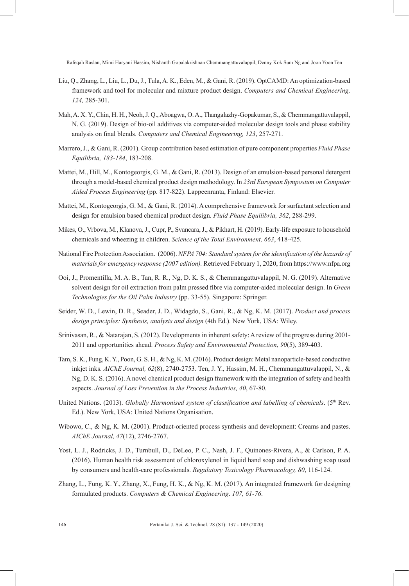- Liu, Q., Zhang, L., Liu, L., Du, J., Tula, A. K., Eden, M., & Gani, R. (2019). OptCAMD: An optimization-based framework and tool for molecular and mixture product design. *Computers and Chemical Engineering, 124,* 285-301.
- Mah, A. X. Y., Chin, H. H., Neoh, J. Q., Aboagwa, O. A., Thangalazhy-Gopakumar, S., & Chemmangattuvalappil, N. G. (2019). Design of bio-oil additives via computer-aided molecular design tools and phase stability analysis on final blends. *Computers and Chemical Engineering, 123*, 257-271.
- Marrero, J., & Gani, R. (2001). Group contribution based estimation of pure component properties *Fluid Phase Equilibria, 183-184*, 183-208.
- Mattei, M., Hill, M., Kontogeorgis, G. M., & Gani, R. (2013). Design of an emulsion-based personal detergent through a model-based chemical product design methodology. In *23rd European Symposium on Computer Aided Process Engineering* (pp. 817-822). Lappeenranta, Finland: Elsevier.
- Mattei, M., Kontogeorgis, G. M., & Gani, R. (2014). A comprehensive framework for surfactant selection and design for emulsion based chemical product design. *Fluid Phase Equilibria, 362*, 288-299.
- Mikes, O., Vrbova, M., Klanova, J., Cupr, P., Svancara, J., & Pikhart, H. (2019). Early-life exposure to household chemicals and wheezing in children. *Science of the Total Environment, 663*, 418-425.
- National Fire Protection Association. (2006). *NFPA 704: Standard system for the identification of the hazards of materials for emergency response (2007 edition).* Retrieved February 1, 2020, from https://www.nfpa.org
- Ooi, J., Promentilla, M. A. B., Tan, R. R., Ng, D. K. S., & Chemmangattuvalappil, N. G. (2019). Alternative solvent design for oil extraction from palm pressed fibre via computer-aided molecular design. In *Green Technologies for the Oil Palm Industry* (pp. 33-55). Singapore: Springer.
- Seider, W. D., Lewin, D. R., Seader, J. D., Widagdo, S., Gani, R., & Ng, K. M. (2017). *Product and process design principles: Synthesis, analysis and design* (4th Ed.). New York, USA: Wiley.
- Srinivasan, R., & Natarajan, S. (2012). Developments in inherent safety: A review of the progress during 2001- 2011 and opportunities ahead. *Process Safety and Environmental Protection*, *90*(5), 389-403.
- Tam, S. K., Fung, K. Y., Poon, G. S. H., & Ng, K. M. (2016). Product design: Metal nanoparticle-based conductive inkjet inks. *AIChE Journal, 62*(8), 2740-2753. Ten, J. Y., Hassim, M. H., Chemmangattuvalappil, N., & Ng, D. K. S. (2016). A novel chemical product design framework with the integration of safety and health aspects. *Journal of Loss Prevention in the Process Industries, 40*, 67-80.
- United Nations. (2013). *Globally Harmonised system of classification and labelling of chemicals*. (5<sup>th</sup> Rev. Ed.). New York, USA: United Nations Organisation.
- Wibowo, C., & Ng, K. M. (2001). Product-oriented process synthesis and development: Creams and pastes. *AIChE Journal, 47*(12), 2746-2767.
- Yost, L. J., Rodricks, J. D., Turnbull, D., DeLeo, P. C., Nash, J. F., Quinones-Rivera, A., & Carlson, P. A. (2016). Human health risk assessment of chloroxylenol in liquid hand soap and dishwashing soap used by consumers and health-care professionals. *Regulatory Toxicology Pharmacology, 80*, 116-124.
- Zhang, L., Fung, K. Y., Zhang, X., Fung, H. K., & Ng, K. M. (2017). An integrated framework for designing formulated products. *Computers & Chemical Engineering*. *107, 61-76*.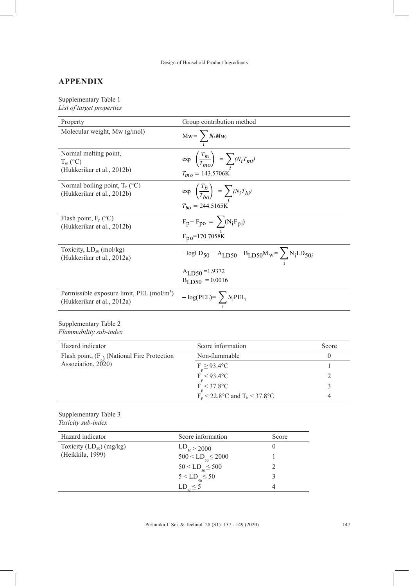Design of Household Product Ingredients

# **APPENDIX**

Supplementary Table 1 *List of target properties* 

| Property                                                                            | Group contribution method                                                                                     |                |              |
|-------------------------------------------------------------------------------------|---------------------------------------------------------------------------------------------------------------|----------------|--------------|
| Molecular weight, Mw (g/mol)                                                        | $Mw = \sum_i N_i M w_i$                                                                                       |                |              |
| Normal melting point,<br>$T_m$ (°C)<br>(Hukkerikar et al., 2012b)                   | $\exp\left(\frac{T_m}{T_{mo}}\right) = \sum (N_i T_{mi})$<br>$T_{mo} = 143.5706K$                             |                |              |
| Normal boiling point, $T_b$ (°C)<br>(Hukkerikar et al., 2012b)                      | $\exp\left(\frac{T_b}{T_{bo}}\right) = \sum_i (N_i T_{bi})$<br>$T_{bo} = 244.5165 \text{K}$                   |                |              |
| Flash point, $F_p$ (°C)<br>(Hukkerikar et al., 2012b)                               | $F_p - F_{po} = \sum_i (N_i F_{pi})$<br>$F_{po} = 170.7058K$                                                  |                |              |
| Toxicity, $LD_{50}$ (mol/kg)<br>(Hukkerikar et al., 2012a)                          | $-\text{logLD}_{50} - \text{A}_{LD50} - \text{B}_{LD50} \text{M}_{w} = \sum_{i} \text{N}_{i} \text{LD}_{50i}$ |                |              |
|                                                                                     | $A_{LD50} = 1.9372$<br>$B_{LD50} = 0.0016$                                                                    |                |              |
| Permissible exposure limit, PEL (mol/m <sup>3</sup> )<br>(Hukkerikar et al., 2012a) | $-\log(\text{PEL}) = \sum N_i \text{PEL}_i$                                                                   |                |              |
| Supplementary Table 2<br>Flammability sub-index                                     |                                                                                                               |                |              |
| Hazard indicator                                                                    | Score information                                                                                             |                | Score        |
| Flash point, $(F_{\lambda})$ (National Fire Protection                              | Non-flammable                                                                                                 |                | 0            |
| Association, 2020)                                                                  | $F_p \geq 93.4$ °C                                                                                            |                | $\mathbf{1}$ |
|                                                                                     | $F_{p} < 93.4$ °C<br>$F_{p} < 37.8$ °C                                                                        |                |              |
|                                                                                     |                                                                                                               |                | 3            |
|                                                                                     | $F_p$ < 22.8°C and T <sub>b</sub> < 37.8°C                                                                    |                | 4            |
| Supplementary Table 3<br>Toxicity sub-index                                         |                                                                                                               |                |              |
| Hazard indicator                                                                    | Score information                                                                                             | Score          |              |
| Toxicity $(LD_{50})$ (mg/kg)                                                        | $LD_{50}$ > 2000                                                                                              | $\overline{0}$ |              |
| (Heikkila, 1999)                                                                    | $500 <$ LD <sub>50</sub> $\leq$ 2000                                                                          | 1              |              |
|                                                                                     | $50 < L$ D < 500                                                                                              | 2              |              |

Pertanika J. Sci. & Technol. 28 (S1): 137 - 149 (2020) 147

 $LD_{50} \leq 5$ 

 $50 < \text{LD}_{50} \le 500$ <br>  $5 < \text{LD}_{-} \le 50$ <br>  $3$  $5 < L D_{50} \le 50$ <br>  $2 D \le 5$ <br>  $4$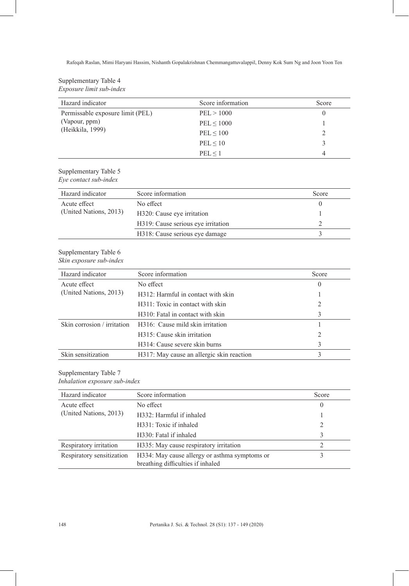## Supplementary Table 4 *Exposure limit sub-index*

| Hazard indicator                 | Score information | Score    |
|----------------------------------|-------------------|----------|
| Permissable exposure limit (PEL) | PEL > 1000        | $\theta$ |
| (Vapour, ppm)                    | $PEL \leq 1000$   |          |
| (Heikkila, 1999)                 | PEL < 100         |          |
|                                  | PEL < 10          | ς        |
|                                  | PEL < 1           | 4        |

# Supplementary Table 5

*Eye contact sub-index*

| Hazard indicator       | Score information                  | Score |
|------------------------|------------------------------------|-------|
| Acute effect           | No effect                          |       |
| (United Nations, 2013) | H320: Cause eye irritation         |       |
|                        | H319: Cause serious eye irritation |       |
|                        | H318: Cause serious eye damage     |       |

#### Supplementary Table 6 *Skin exposure sub-index*

| Hazard indicator            | Score information                         | Score |
|-----------------------------|-------------------------------------------|-------|
| Acute effect                | No effect                                 | 0     |
| (United Nations, 2013)      | H312: Harmful in contact with skin        |       |
|                             | H311: Toxic in contact with skin          |       |
|                             | H310: Fatal in contact with skin          |       |
| Skin corrosion / irritation | H316: Cause mild skin irritation          |       |
|                             | H315: Cause skin irritation               |       |
|                             | H314: Cause severe skin burns             |       |
| Skin sensitization          | H317: May cause an allergic skin reaction |       |

Supplementary Table 7

### *Inhalation exposure sub-index*

| Hazard indicator          | Score information                                                                  | Score    |
|---------------------------|------------------------------------------------------------------------------------|----------|
| Acute effect              | No effect                                                                          | $\theta$ |
| (United Nations, 2013)    | H332: Harmful if inhaled                                                           |          |
|                           | H331: Toxic if inhaled                                                             |          |
|                           | H330: Fatal if inhaled                                                             | 3        |
| Respiratory irritation    | H335: May cause respiratory irritation                                             |          |
| Respiratory sensitization | H334: May cause allergy or asthma symptoms or<br>breathing difficulties if inhaled |          |